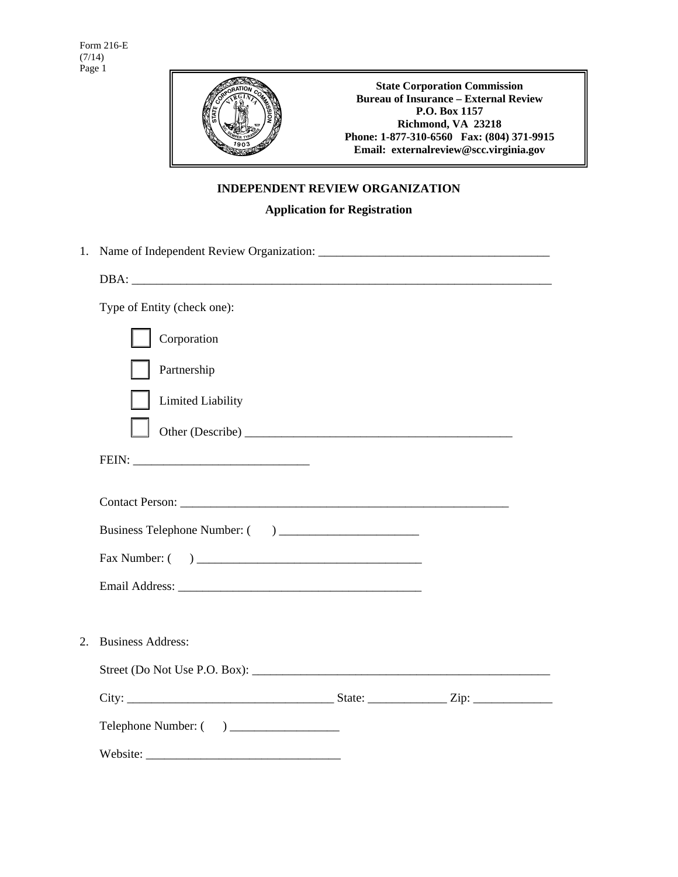

## **INDEPENDENT REVIEW ORGANIZATION**

## **Application for Registration**

| 1. |                             |  |
|----|-----------------------------|--|
|    |                             |  |
|    | Type of Entity (check one): |  |
|    | Corporation                 |  |
|    | Partnership                 |  |
|    | Limited Liability           |  |
|    |                             |  |
|    |                             |  |
|    | Contact Person:             |  |
|    |                             |  |
|    |                             |  |
|    |                             |  |
|    |                             |  |
| 2. | <b>Business Address:</b>    |  |
|    |                             |  |
|    |                             |  |
|    |                             |  |
|    |                             |  |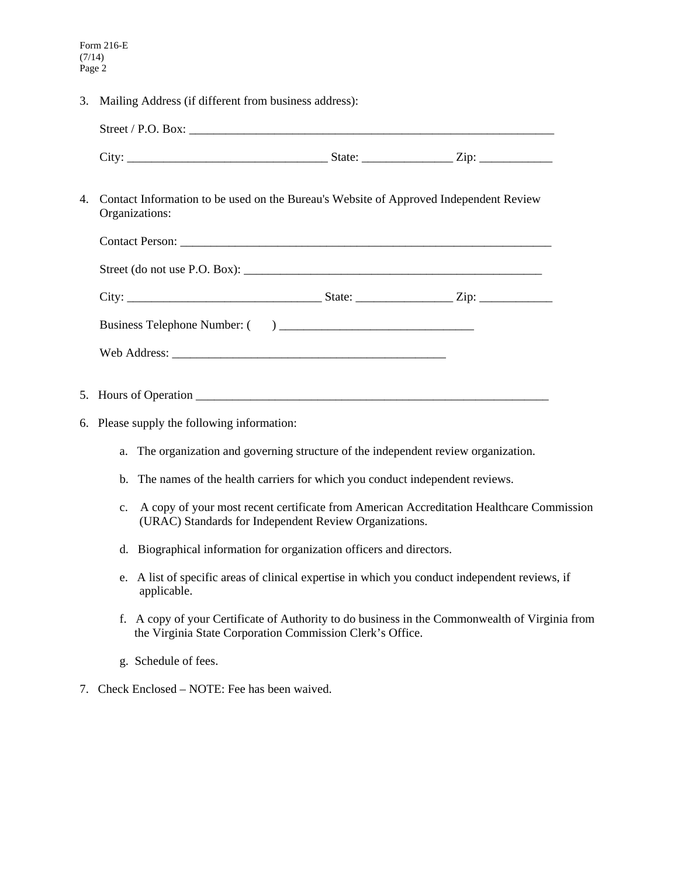3. Mailing Address (if different from business address):

| 4. | Contact Information to be used on the Bureau's Website of Approved Independent Review<br>Organizations:                                                        |
|----|----------------------------------------------------------------------------------------------------------------------------------------------------------------|
|    |                                                                                                                                                                |
|    |                                                                                                                                                                |
|    |                                                                                                                                                                |
|    |                                                                                                                                                                |
|    |                                                                                                                                                                |
|    |                                                                                                                                                                |
|    |                                                                                                                                                                |
|    | 6. Please supply the following information:                                                                                                                    |
|    | The organization and governing structure of the independent review organization.<br>a.                                                                         |
|    | The names of the health carriers for which you conduct independent reviews.<br>$h_{\cdot}$                                                                     |
|    | A copy of your most recent certificate from American Accreditation Healthcare Commission<br>c.<br>(URAC) Standards for Independent Review Organizations.       |
|    | Biographical information for organization officers and directors.<br>d.                                                                                        |
|    | A list of specific areas of clinical expertise in which you conduct independent reviews, if<br>e.<br>applicable.                                               |
|    | A copy of your Certificate of Authority to do business in the Commonwealth of Virginia from<br>f.<br>the Virginia State Corporation Commission Clerk's Office. |

- g. Schedule of fees.
- 7. Check Enclosed NOTE: Fee has been waived.